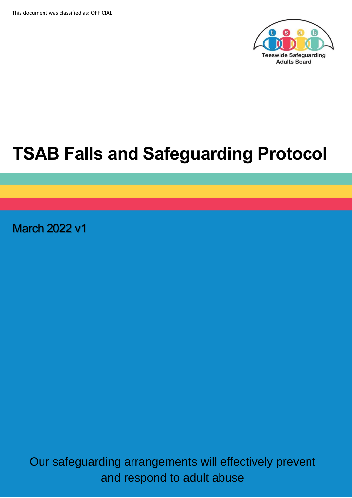

# **TSAB Falls and Safeguarding Protocol**

March 2022 v1

Our safeguarding arrangements will effectively prevent and respond to adult abuse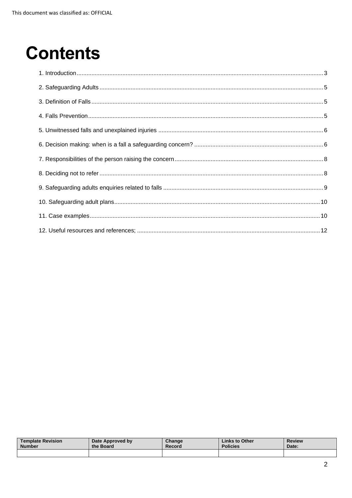# **Contents**

| <b>Template Revision</b> | Date Approved by | Change | Links to Other  | <b>Review</b> |
|--------------------------|------------------|--------|-----------------|---------------|
| <b>Number</b>            | the Board        | Record | <b>Policies</b> | Date:         |
|                          |                  |        |                 |               |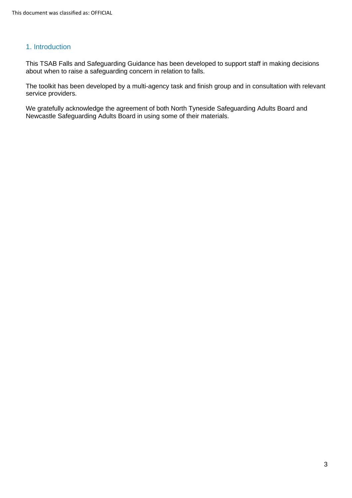## <span id="page-2-0"></span>1. Introduction

This TSAB Falls and Safeguarding Guidance has been developed to support staff in making decisions about when to raise a safeguarding concern in relation to falls.

The toolkit has been developed by a multi-agency task and finish group and in consultation with relevant service providers.

We gratefully acknowledge the agreement of both North Tyneside Safeguarding Adults Board and Newcastle Safeguarding Adults Board in using some of their materials.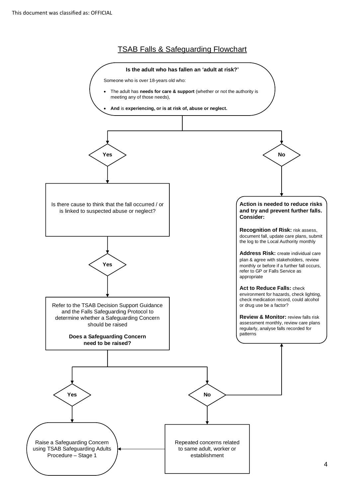TSAB Falls & Safeguarding Flowchart

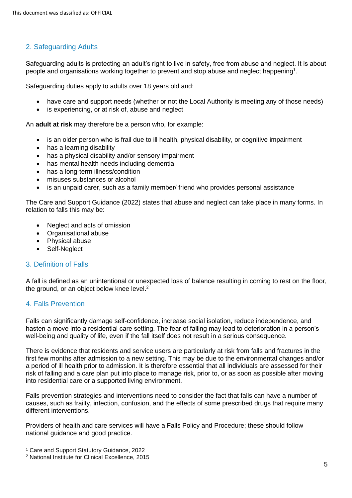## <span id="page-4-0"></span>2. Safeguarding Adults

Safeguarding adults is protecting an adult's right to live in safety, free from abuse and neglect. It is about people and organisations working together to prevent and stop abuse and neglect happening<sup>1</sup>.

Safeguarding duties apply to adults over 18 years old and:

- have care and support needs (whether or not the Local Authority is meeting any of those needs)
- is experiencing, or at risk of, abuse and neglect

An **adult at risk** may therefore be a person who, for example:

- is an older person who is frail due to ill health, physical disability, or cognitive impairment
- has a learning disability
- has a physical disability and/or sensory impairment
- has mental health needs including dementia
- has a long-term illness/condition
- misuses substances or alcohol
- is an unpaid carer, such as a family member/ friend who provides personal assistance

The Care and Support Guidance (2022) states that abuse and neglect can take place in many forms. In relation to falls this may be:

- Neglect and acts of omission
- Organisational abuse
- Physical abuse
- Self-Neglect

## <span id="page-4-1"></span>3. Definition of Falls

A fall is defined as an unintentional or unexpected loss of balance resulting in coming to rest on the floor, the ground, or an object below knee level.<sup>2</sup>

## <span id="page-4-2"></span>4. Falls Prevention

Falls can significantly damage self-confidence, increase social isolation, reduce independence, and hasten a move into a residential care setting. The fear of falling may lead to deterioration in a person's well-being and quality of life, even if the fall itself does not result in a serious consequence.

There is evidence that residents and service users are particularly at risk from falls and fractures in the first few months after admission to a new setting. This may be due to the environmental changes and/or a period of ill health prior to admission. It is therefore essential that all individuals are assessed for their risk of falling and a care plan put into place to manage risk, prior to, or as soon as possible after moving into residential care or a supported living environment.

Falls prevention strategies and interventions need to consider the fact that falls can have a number of causes, such as frailty, infection, confusion, and the effects of some prescribed drugs that require many different interventions.

Providers of health and care services will have a Falls Policy and Procedure; these should follow national guidance and good practice.

<sup>1</sup> Care and Support Statutory Guidance, 2022

<sup>2</sup> National Institute for Clinical Excellence, 2015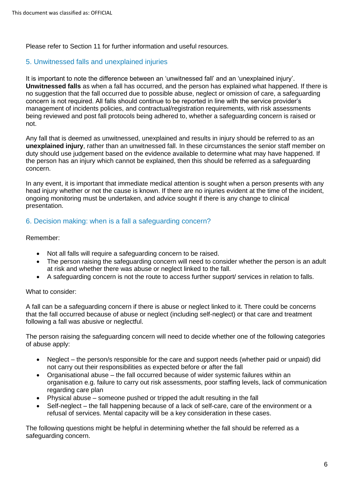Please refer to Section 11 for further information and useful resources.

### <span id="page-5-0"></span>5. Unwitnessed falls and unexplained injuries

It is important to note the difference between an 'unwitnessed fall' and an 'unexplained injury'. **Unwitnessed falls** as when a fall has occurred, and the person has explained what happened. If there is no suggestion that the fall occurred due to possible abuse, neglect or omission of care, a safeguarding concern is not required. All falls should continue to be reported in line with the service provider's management of incidents policies, and contractual/registration requirements, with risk assessments being reviewed and post fall protocols being adhered to, whether a safeguarding concern is raised or not.

Any fall that is deemed as unwitnessed, unexplained and results in injury should be referred to as an **unexplained injury**, rather than an unwitnessed fall. In these circumstances the senior staff member on duty should use judgement based on the evidence available to determine what may have happened. If the person has an injury which cannot be explained, then this should be referred as a safeguarding concern.

In any event, it is important that immediate medical attention is sought when a person presents with any head injury whether or not the cause is known. If there are no injuries evident at the time of the incident, ongoing monitoring must be undertaken, and advice sought if there is any change to clinical presentation.

## <span id="page-5-1"></span>6. Decision making: when is a fall a safeguarding concern?

#### Remember:

- Not all falls will require a safeguarding concern to be raised.
- The person raising the safeguarding concern will need to consider whether the person is an adult at risk and whether there was abuse or neglect linked to the fall.
- A safeguarding concern is not the route to access further support/ services in relation to falls.

#### What to consider:

A fall can be a safeguarding concern if there is abuse or neglect linked to it. There could be concerns that the fall occurred because of abuse or neglect (including self-neglect) or that care and treatment following a fall was abusive or neglectful.

The person raising the safeguarding concern will need to decide whether one of the following categories of abuse apply:

- Neglect the person/s responsible for the care and support needs (whether paid or unpaid) did not carry out their responsibilities as expected before or after the fall
- Organisational abuse the fall occurred because of wider systemic failures within an organisation e.g. failure to carry out risk assessments, poor staffing levels, lack of communication regarding care plan
- Physical abuse someone pushed or tripped the adult resulting in the fall
- Self-neglect the fall happening because of a lack of self-care, care of the environment or a refusal of services. Mental capacity will be a key consideration in these cases.

The following questions might be helpful in determining whether the fall should be referred as a safeguarding concern.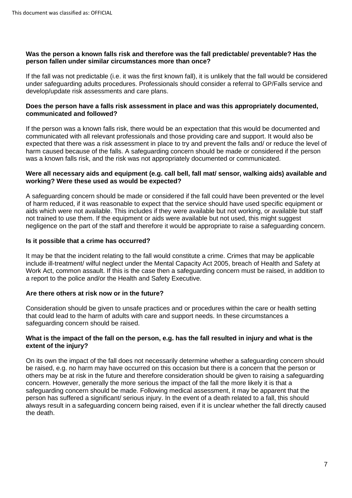#### **Was the person a known falls risk and therefore was the fall predictable/ preventable? Has the person fallen under similar circumstances more than once?**

If the fall was not predictable (i.e. it was the first known fall), it is unlikely that the fall would be considered under safeguarding adults procedures. Professionals should consider a referral to GP/Falls service and develop/update risk assessments and care plans.

#### **Does the person have a falls risk assessment in place and was this appropriately documented, communicated and followed?**

If the person was a known falls risk, there would be an expectation that this would be documented and communicated with all relevant professionals and those providing care and support. It would also be expected that there was a risk assessment in place to try and prevent the falls and/ or reduce the level of harm caused because of the falls. A safeguarding concern should be made or considered if the person was a known falls risk, and the risk was not appropriately documented or communicated.

#### **Were all necessary aids and equipment (e.g. call bell, fall mat/ sensor, walking aids) available and working? Were these used as would be expected?**

A safeguarding concern should be made or considered if the fall could have been prevented or the level of harm reduced, if it was reasonable to expect that the service should have used specific equipment or aids which were not available. This includes if they were available but not working, or available but staff not trained to use them. If the equipment or aids were available but not used, this might suggest negligence on the part of the staff and therefore it would be appropriate to raise a safeguarding concern.

#### **Is it possible that a crime has occurred?**

It may be that the incident relating to the fall would constitute a crime. Crimes that may be applicable include ill-treatment/ wilful neglect under the Mental Capacity Act 2005, breach of Health and Safety at Work Act, common assault. If this is the case then a safeguarding concern must be raised, in addition to a report to the police and/or the Health and Safety Executive.

## **Are there others at risk now or in the future?**

Consideration should be given to unsafe practices and or procedures within the care or health setting that could lead to the harm of adults with care and support needs. In these circumstances a safeguarding concern should be raised.

#### **What is the impact of the fall on the person, e.g. has the fall resulted in injury and what is the extent of the injury?**

On its own the impact of the fall does not necessarily determine whether a safeguarding concern should be raised, e.g. no harm may have occurred on this occasion but there is a concern that the person or others may be at risk in the future and therefore consideration should be given to raising a safeguarding concern. However, generally the more serious the impact of the fall the more likely it is that a safeguarding concern should be made. Following medical assessment, it may be apparent that the person has suffered a significant/ serious injury. In the event of a death related to a fall, this should always result in a safeguarding concern being raised, even if it is unclear whether the fall directly caused the death.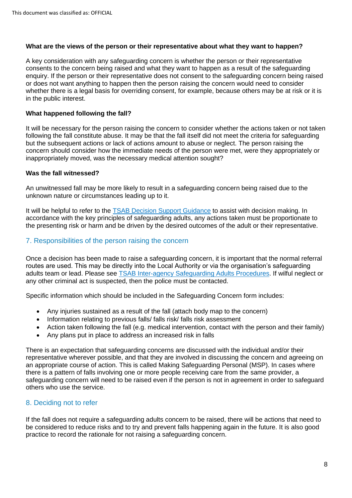#### **What are the views of the person or their representative about what they want to happen?**

A key consideration with any safeguarding concern is whether the person or their representative consents to the concern being raised and what they want to happen as a result of the safeguarding enquiry. If the person or their representative does not consent to the safeguarding concern being raised or does not want anything to happen then the person raising the concern would need to consider whether there is a legal basis for overriding consent, for example, because others may be at risk or it is in the public interest.

#### **What happened following the fall?**

It will be necessary for the person raising the concern to consider whether the actions taken or not taken following the fall constitute abuse. It may be that the fall itself did not meet the criteria for safeguarding but the subsequent actions or lack of actions amount to abuse or neglect. The person raising the concern should consider how the immediate needs of the person were met, were they appropriately or inappropriately moved, was the necessary medical attention sought?

#### **Was the fall witnessed?**

An unwitnessed fall may be more likely to result in a safeguarding concern being raised due to the unknown nature or circumstances leading up to it.

It will be helpful to refer to the [TSAB Decision Support Guidance](https://www.tsab.org.uk/wp-content/uploads/2020/08/Decision-Support-Guidance-V5.1.pdf) to assist with decision making. In accordance with the key principles of safeguarding adults, any actions taken must be proportionate to the presenting risk or harm and be driven by the desired outcomes of the adult or their representative.

## <span id="page-7-0"></span>7. Responsibilities of the person raising the concern

Once a decision has been made to raise a safeguarding concern, it is important that the normal referral routes are used. This may be directly into the Local Authority or via the organisation's safeguarding adults team or lead. Please see [TSAB Inter-agency Safeguarding Adults Procedures.](https://www.tsab.org.uk/wp-content/uploads/2021/06/Inter-Agency-Safeguarding-Adults-Procedure-V11-FINAL-1.pdf) If wilful neglect or any other criminal act is suspected, then the police must be contacted.

Specific information which should be included in the Safeguarding Concern form includes:

- Any injuries sustained as a result of the fall (attach body map to the concern)
- Information relating to previous falls/ falls risk/ falls risk assessment
- Action taken following the fall (e.g. medical intervention, contact with the person and their family)
- Any plans put in place to address an increased risk in falls

There is an expectation that safeguarding concerns are discussed with the individual and/or their representative wherever possible, and that they are involved in discussing the concern and agreeing on an appropriate course of action. This is called Making Safeguarding Personal (MSP). In cases where there is a pattern of falls involving one or more people receiving care from the same provider, a safeguarding concern will need to be raised even if the person is not in agreement in order to safeguard others who use the service.

## <span id="page-7-1"></span>8. Deciding not to refer

If the fall does not require a safeguarding adults concern to be raised, there will be actions that need to be considered to reduce risks and to try and prevent falls happening again in the future. It is also good practice to record the rationale for not raising a safeguarding concern.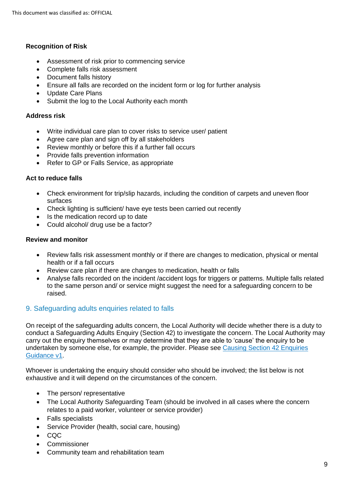#### **Recognition of Risk**

- Assessment of risk prior to commencing service
- Complete falls risk assessment
- Document falls history
- Ensure all falls are recorded on the incident form or log for further analysis
- Update Care Plans
- Submit the log to the Local Authority each month

#### **Address risk**

- Write individual care plan to cover risks to service user/ patient
- Agree care plan and sign off by all stakeholders
- Review monthly or before this if a further fall occurs
- Provide falls prevention information
- Refer to GP or Falls Service, as appropriate

#### **Act to reduce falls**

- Check environment for trip/slip hazards, including the condition of carpets and uneven floor surfaces
- Check lighting is sufficient/ have eye tests been carried out recently
- Is the medication record up to date
- Could alcohol/ drug use be a factor?

#### **Review and monitor**

- Review falls risk assessment monthly or if there are changes to medication, physical or mental health or if a fall occurs
- Review care plan if there are changes to medication, health or falls
- Analyse falls recorded on the incident /accident logs for triggers or patterns. Multiple falls related to the same person and/ or service might suggest the need for a safeguarding concern to be raised.

## <span id="page-8-0"></span>9. Safeguarding adults enquiries related to falls

On receipt of the safeguarding adults concern, the Local Authority will decide whether there is a duty to conduct a Safeguarding Adults Enquiry (Section 42) to investigate the concern. The Local Authority may carry out the enquiry themselves or may determine that they are able to 'cause' the enquiry to be undertaken by someone else, for example, the provider. Please see [Causing Section 42 Enquiries](https://www.tsab.org.uk/wp-content/uploads/2020/03/TSAB-Causing-S42-Enquiries-Guidance-V1-2nd-DRAFT.pdf)  [Guidance v1.](https://www.tsab.org.uk/wp-content/uploads/2020/03/TSAB-Causing-S42-Enquiries-Guidance-V1-2nd-DRAFT.pdf)

Whoever is undertaking the enquiry should consider who should be involved; the list below is not exhaustive and it will depend on the circumstances of the concern.

- The person/ representative
- The Local Authority Safeguarding Team (should be involved in all cases where the concern relates to a paid worker, volunteer or service provider)
- Falls specialists
- Service Provider (health, social care, housing)
- CQC
- **Commissioner**
- Community team and rehabilitation team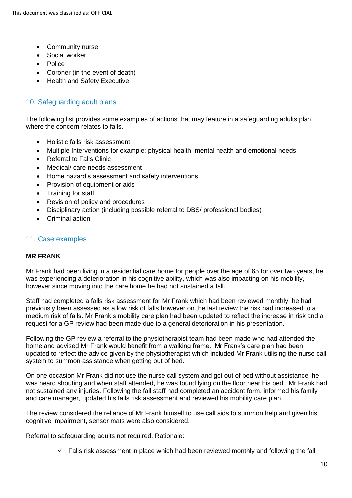- Community nurse
- Social worker
- Police
- Coroner (in the event of death)
- Health and Safety Executive

## <span id="page-9-0"></span>10. Safeguarding adult plans

The following list provides some examples of actions that may feature in a safeguarding adults plan where the concern relates to falls.

- Holistic falls risk assessment
- Multiple Interventions for example: physical health, mental health and emotional needs
- Referral to Falls Clinic
- Medical/ care needs assessment
- Home hazard's assessment and safety interventions
- Provision of equipment or aids
- Training for staff
- Revision of policy and procedures
- Disciplinary action (including possible referral to DBS/ professional bodies)
- Criminal action

## <span id="page-9-1"></span>11. Case examples

#### **MR FRANK**

Mr Frank had been living in a residential care home for people over the age of 65 for over two years, he was experiencing a deterioration in his cognitive ability, which was also impacting on his mobility, however since moving into the care home he had not sustained a fall.

Staff had completed a falls risk assessment for Mr Frank which had been reviewed monthly, he had previously been assessed as a low risk of falls however on the last review the risk had increased to a medium risk of falls. Mr Frank's mobility care plan had been updated to reflect the increase in risk and a request for a GP review had been made due to a general deterioration in his presentation.

Following the GP review a referral to the physiotherapist team had been made who had attended the home and advised Mr Frank would benefit from a walking frame. Mr Frank's care plan had been updated to reflect the advice given by the physiotherapist which included Mr Frank utilising the nurse call system to summon assistance when getting out of bed.

On one occasion Mr Frank did not use the nurse call system and got out of bed without assistance, he was heard shouting and when staff attended, he was found lying on the floor near his bed. Mr Frank had not sustained any injuries. Following the fall staff had completed an accident form, informed his family and care manager, updated his falls risk assessment and reviewed his mobility care plan.

The review considered the reliance of Mr Frank himself to use call aids to summon help and given his cognitive impairment, sensor mats were also considered.

Referral to safeguarding adults not required. Rationale:

 $\checkmark$  Falls risk assessment in place which had been reviewed monthly and following the fall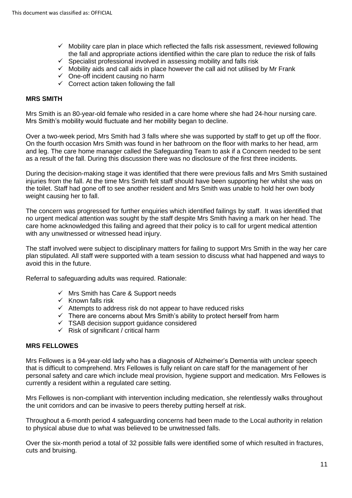- $\checkmark$  Mobility care plan in place which reflected the falls risk assessment, reviewed following the fall and appropriate actions identified within the care plan to reduce the risk of falls
- $\checkmark$  Specialist professional involved in assessing mobility and falls risk
- $\checkmark$  Mobility aids and call aids in place however the call aid not utilised by Mr Frank
- $\checkmark$  One-off incident causing no harm
- $\checkmark$  Correct action taken following the fall

#### **MRS SMITH**

Mrs Smith is an 80-year-old female who resided in a care home where she had 24-hour nursing care. Mrs Smith's mobility would fluctuate and her mobility began to decline.

Over a two-week period, Mrs Smith had 3 falls where she was supported by staff to get up off the floor. On the fourth occasion Mrs Smith was found in her bathroom on the floor with marks to her head, arm and leg. The care home manager called the Safeguarding Team to ask if a Concern needed to be sent as a result of the fall. During this discussion there was no disclosure of the first three incidents.

During the decision-making stage it was identified that there were previous falls and Mrs Smith sustained injuries from the fall. At the time Mrs Smith felt staff should have been supporting her whilst she was on the toilet. Staff had gone off to see another resident and Mrs Smith was unable to hold her own body weight causing her to fall.

The concern was progressed for further enquiries which identified failings by staff. It was identified that no urgent medical attention was sought by the staff despite Mrs Smith having a mark on her head. The care home acknowledged this failing and agreed that their policy is to call for urgent medical attention with any unwitnessed or witnessed head injury.

The staff involved were subject to disciplinary matters for failing to support Mrs Smith in the way her care plan stipulated. All staff were supported with a team session to discuss what had happened and ways to avoid this in the future.

Referral to safeguarding adults was required. Rationale:

- ✓ Mrs Smith has Care & Support needs
- $\checkmark$  Known falls risk
- ✓ Attempts to address risk do not appear to have reduced risks
- ✓ There are concerns about Mrs Smith's ability to protect herself from harm
- ✓ TSAB decision support guidance considered
- $\checkmark$  Risk of significant / critical harm

#### **MRS FELLOWES**

Mrs Fellowes is a 94-year-old lady who has a diagnosis of Alzheimer's Dementia with unclear speech that is difficult to comprehend. Mrs Fellowes is fully reliant on care staff for the management of her personal safety and care which include meal provision, hygiene support and medication. Mrs Fellowes is currently a resident within a regulated care setting.

Mrs Fellowes is non-compliant with intervention including medication, she relentlessly walks throughout the unit corridors and can be invasive to peers thereby putting herself at risk.

Throughout a 6-month period 4 safeguarding concerns had been made to the Local authority in relation to physical abuse due to what was believed to be unwitnessed falls.

Over the six-month period a total of 32 possible falls were identified some of which resulted in fractures, cuts and bruising.